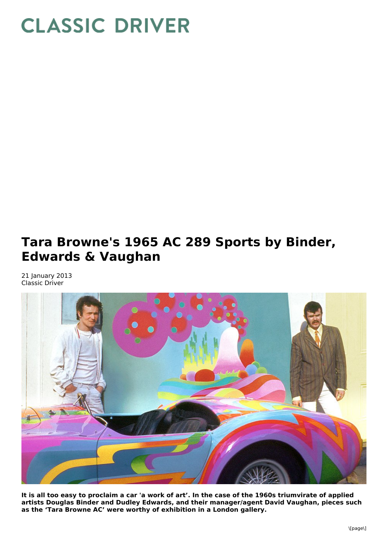## **CLASSIC DRIVER**

## **Tara Browne's 1965 AC 289 Sports by Binder, Edwards & Vaughan**

21 January 2013 Classic Driver



It is all too easy to proclaim a car 'a work of art'. In the case of the 1960s triumvirate of applied **artists Douglas Binder and Dudley Edwards, and their manager/agent David Vaughan, pieces such as the 'Tara Browne AC' were worthy of exhibition in a London gallery.**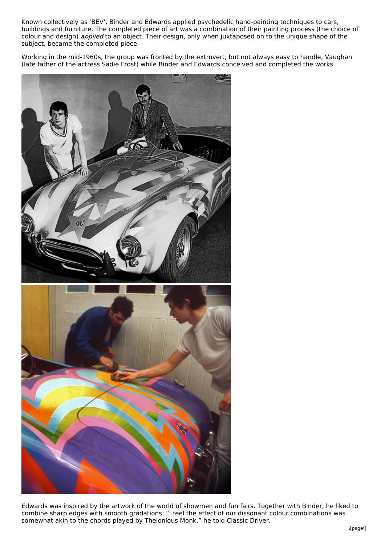Known collectively as 'BEV', Binder and Edwards applied psychedelic hand-painting techniques to cars, buildings and furniture. The completed piece of art was a combination of their painting process (the choice of colour and design) *applied* to an object. Their design, only when juxtaposed on to the unique shape of the subject, became the completed piece.

Working in the mid-1960s, the group was fronted by the extrovert, but not always easy to handle, Vaughan (late father of the actress Sadie Frost) while Binder and Edwards conceived and completed the works.



Edwards was inspired by the artwork of the world of showmen and fun fairs. Together with Binder, he liked to combine sharp edges with smooth gradations: "I feel the effect of our dissonant colour combinations was somewhat akin to the chords played by Thelonious Monk," he told Classic Driver.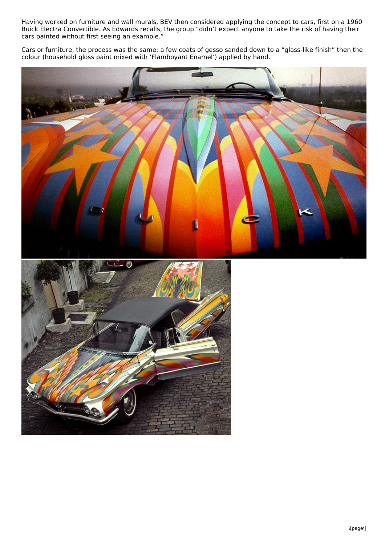Having worked on furniture and wall murals, BEV then considered applying the concept to cars, first on a 1960 Buick Electra Convertible. As Edwards recalls, the group "didn't expect anyone to take the risk of having their cars painted without first seeing an example."

Cars or furniture, the process was the same: a few coats of gesso sanded down to a "glass-like finish" then the colour (household gloss paint mixed with 'Flamboyant Enamel') applied by hand.

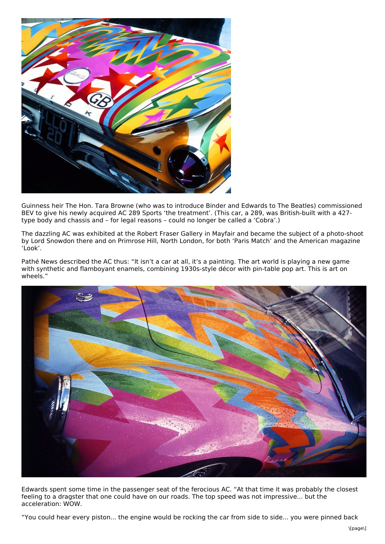

Guinness heir The Hon. Tara Browne (who was to introduce Binder and Edwards to The Beatles) commissioned BEV to give his newly acquired AC 289 Sports 'the treatment'. (This car, a 289, was British-built with a 427 type body and chassis and – for legal reasons – could no longer be called a 'Cobra'.)

The dazzling AC was exhibited at the Robert Fraser Gallery in Mayfair and became the subject of a photo-shoot by Lord Snowdon there and on Primrose Hill, North London, for both 'Paris Match' and the American magazine 'Look'.

Pathé News described the AC thus: "It isn't a car at all, it's a painting. The art world is playing a new game with synthetic and flamboyant enamels, combining 1930s-style décor with pin-table pop art. This is art on wheels."



Edwards spent some time in the passenger seat of the ferocious AC. "At that time it was probably the closest feeling to a dragster that one could have on our roads. The top speed was not impressive... but the acceleration: WOW.

"You could hear every piston... the engine would be rocking the car from side to side... you were pinned back